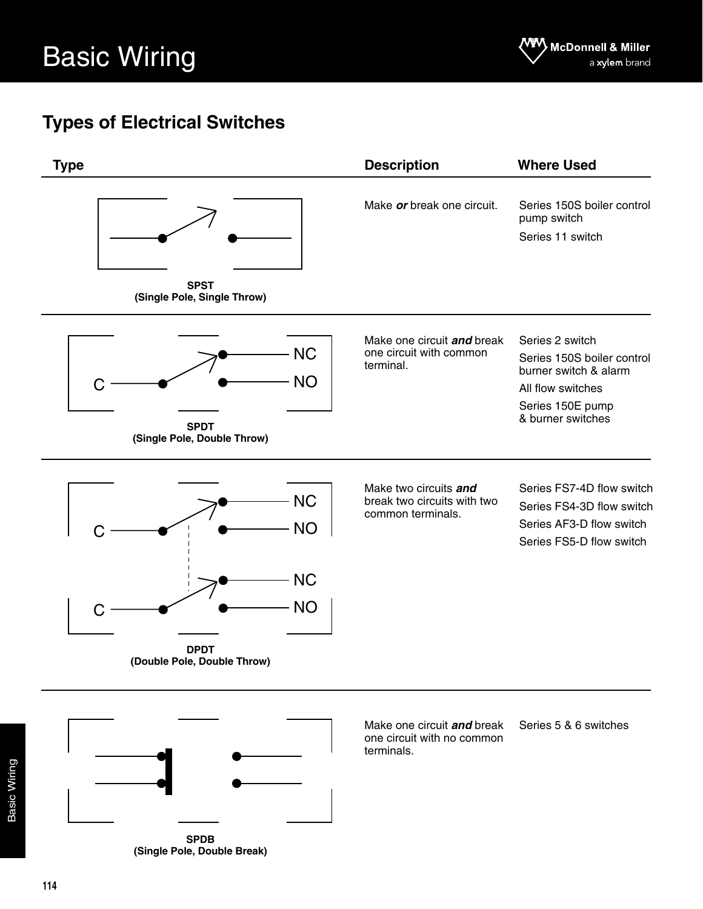## **Types of Electrical Switches**



**SPDB (Single Pole, Double Break)**